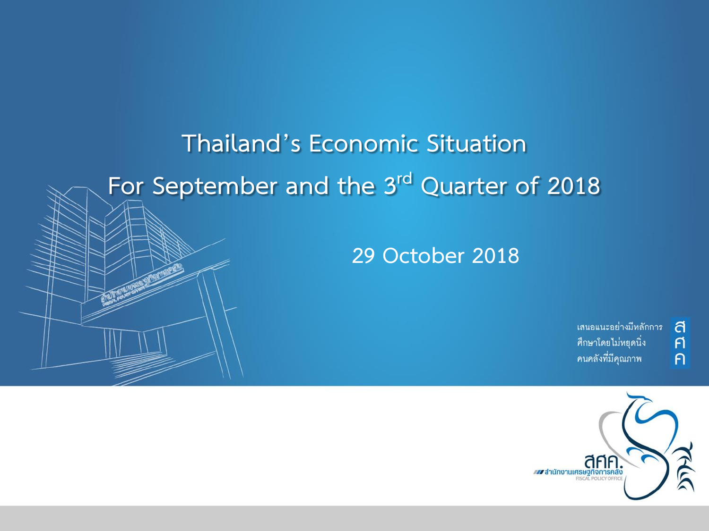# **Thailand's Economic Situation For September and the 3rd Quarter of 2018**

**29 October 2018**

เสนอแนะอย่างมีหลักการ ศึกษาโดยไม่หยุดนิ่ง คนคลังที่มีคุณภาพ

ส

 $\overline{r}$ 

 $\overline{P}$ 

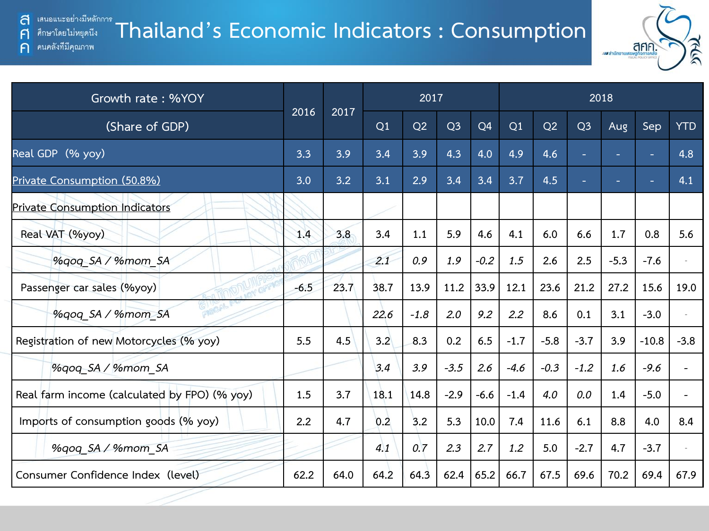$\mathsf{F}$ 

 $\bigcap$ 

#### **Thailand's Economic Indicators : Consumption** ศึกษาโดยไม่หยุดนีง คนคลังที่มีคุณภาพ



| Growth rate: %YOY                            |        | 2017 |      | 2018   |                |                |        |        |                          |        |         |            |
|----------------------------------------------|--------|------|------|--------|----------------|----------------|--------|--------|--------------------------|--------|---------|------------|
| (Share of GDP)                               | 2016   |      | Q1   | Q2     | Q <sub>3</sub> | Q <sub>4</sub> | Q1     | Q2     | Q <sub>3</sub>           | Aug    | Sep     | <b>YTD</b> |
| Real GDP (% yoy)                             | 3.3    | 3.9  | 3.4  | 3.9    | 4.3            | 4.0            | 4.9    | 4.6    | ÷                        | a.     |         | 4.8        |
| Private Consumption (50.8%)                  | 3.0    | 3.2  | 3.1  | 2.9    | 3.4            | 3.4            | 3.7    | 4.5    | $\overline{\phantom{a}}$ | $\sim$ |         | 4.1        |
| <b>Private Consumption Indicators</b>        |        |      |      |        |                |                |        |        |                          |        |         |            |
| Real VAT (%yoy)                              | 1.4    | 3.8  | 3.4  | 1.1    | 5.9            | 4.6            | 4.1    | 6.0    | 6.6                      | 1,7    | 0.8     | 5.6        |
| %gog SA / %mom SA                            |        |      | 2.1  | 0.9    | 1.9            | $-0.2$         | 1.5    | 2.6    | 2.5                      | $-5.3$ | $-7.6$  |            |
| Passenger car sales (%yoy)                   | $-6.5$ | 23.7 | 38.7 | 13.9   | 11.2           | 33.9           | 12.1   | 23.6   | 21.2                     | 27.2   | 15.6    | 19.0       |
| %qoq_SA / %mom_SA                            |        |      | 22.6 | $-1.8$ | 2.0            | 9.2            | 2.2    | 8.6    | 0.1                      | 3.1    | $-3.0$  |            |
| Registration of new Motorcycles (% yoy)      | 5.5    | 4.5  | 3.2  | 8.3    | 0.2            | 6.5            | $-1.7$ | $-5.8$ | $-3.7$                   | 3.9    | $-10.8$ | $-3.8$     |
| %gog SA / %mom SA                            |        |      | 3.4  | 3.9    | $-3.5$         | 2.6            | $-4.6$ | $-0.3$ | $-1.2$                   | 1.6    | $-9.6$  |            |
| Real farm income (calculated by FPO) (% yoy) | 1.5    | 3.7  | 18.1 | 14.8   | $-2.9$         | $-6.6$         | $-1.4$ | 4.0    | 0.0                      | 1.4    | $-5.0$  |            |
| Imports of consumption goods (% yoy)         | 2.2    | 4.7  | 0.2  | 3.2    | 5.3            | 10.0           | 7.4    | 11.6   | 6.1                      | 8.8    | 4.0     | 8.4        |
| %qoq SA / %mom SA                            |        |      | 4.1  | 0.7    | 2.3            | 2.7            | 1.2    | 5.0    | $-2.7$                   | 4.7    | $-3.7$  |            |
| Consumer Confidence Index (level)            | 62.2   | 64.0 | 64.2 | 64.3   | 62.4           | 65.2           | 66.7   | 67.5   | 69.6                     | 70.2   | 69.4    | 67.9       |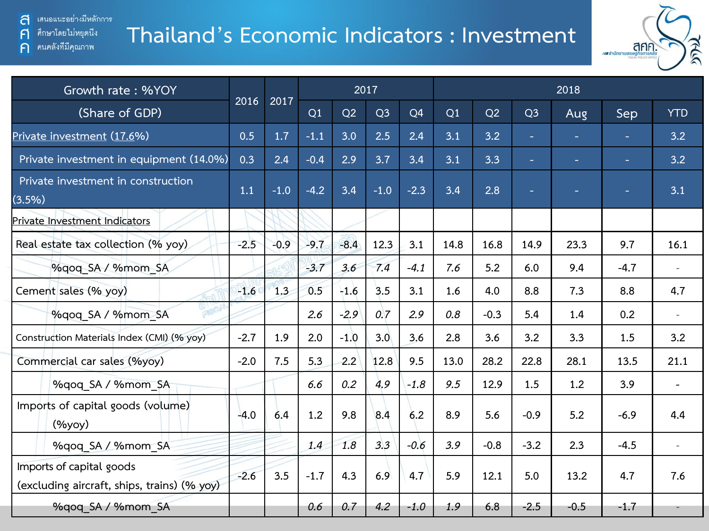คนคลังที่มีคุณภาพ

 $\mathsf{F}$ 

 $\bigcap$ 

## **Thailand's Economic Indicators : Investment**



| Growth rate: %YOY                                                       |        |        |        | 2017   |                |                |      | 2018   |                |                |                          |                          |  |  |  |
|-------------------------------------------------------------------------|--------|--------|--------|--------|----------------|----------------|------|--------|----------------|----------------|--------------------------|--------------------------|--|--|--|
| (Share of GDP)                                                          | 2016   | 2017   | Q1     | Q2     | Q <sub>3</sub> | Q <sub>4</sub> | Q1   | Q2     | Q <sub>3</sub> | Aug            | Sep                      | <b>YTD</b>               |  |  |  |
| Private investment (17.6%)                                              | 0.5    | 1.7    | $-1.1$ | 3.0    | 2.5            | 2.4            | 3.1  | 3.2    | н              | $\blacksquare$ | $\overline{\phantom{a}}$ | 3.2                      |  |  |  |
| Private investment in equipment (14.0%)                                 | 0.3    | 2.4    | $-0.4$ | 2.9    | 3.7            | 3.4            | 3.1  | 3.3    | н              | ÷.             | ٠                        | 3.2                      |  |  |  |
| Private investment in construction<br>(3.5%)                            | 1.1    | $-1.0$ | $-4.2$ | 3.4    | $-1.0$         | $-2.3$         | 3.4  | 2.8    |                | ٠              |                          | 3.1                      |  |  |  |
| Private Investment Indicators                                           |        |        |        |        |                |                |      |        |                |                |                          |                          |  |  |  |
| Real estate tax collection (% yoy)                                      | $-2.5$ | $-0.9$ | $-9.7$ | $-8.4$ | 12.3           | 3.1            | 14.8 | 16.8   | 14.9           | 23.3           | 9.7                      | 16.1                     |  |  |  |
| %qoq SA / %mom SA                                                       |        |        | $-3.7$ | 3.6    | 7.4            | $-4.1$         | 7.6  | 5.2    | 6.0            | 9.4            | $-4.7$                   | $\overline{\phantom{a}}$ |  |  |  |
| Cement sales (% yoy)                                                    | $-1.6$ | 1.3    | 0.5    | $-1.6$ | 3.5            | 3.1            | 1.6  | 4.0    | 8.8            | 7.3            | 8.8                      | 4.7                      |  |  |  |
| %qoq SA / %mom SA                                                       |        |        | 2.6    | $-2.9$ | 0.7            | 2.9            | 0.8  | $-0.3$ | 5.4            | 1.4            | 0.2                      | $\overline{\phantom{a}}$ |  |  |  |
| Construction Materials Index (CMI) (% yoy)                              | $-2.7$ | 1.9    | 2.0    | $-1.0$ | 3.0            | 3.6            | 2.8  | 3.6    | 3.2            | 3.3            | 1.5                      | 3.2                      |  |  |  |
| Commercial car sales (%yoy)                                             | $-2.0$ | 7.5    | 5.3    | 2.2    | 12.8           | 9.5            | 13.0 | 28.2   | 22.8           | 28.1           | 13.5                     | 21.1                     |  |  |  |
| %gog SA / %mom SA                                                       |        |        | 6.6    | 0.2    | 4.9            | $-1.8$         | 9.5  | 12.9   | 1.5            | 1.2            | 3.9                      |                          |  |  |  |
| Imports of capital goods (volume)<br>(%yoy)                             | $-4.0$ | 6.4    | 1.2    | 9.8    | 8.4            | 6.2            | 8.9  | 5.6    | $-0.9$         | 5.2            | $-6.9$                   | 4.4                      |  |  |  |
| %qoq SA / %mom SA                                                       |        |        | 1.4    | 1.8    | 3.3            | $-0.6$         | 3.9  | $-0.8$ | $-3.2$         | 2.3            | $-4.5$                   | $\sim$                   |  |  |  |
| Imports of capital goods<br>(excluding aircraft, ships, trains) (% yoy) | $-2.6$ | 3.5    | $-1.7$ | 4.3    | 6.9            | 4.7            | 5.9  | 12.1   | 5.0            | 13.2           | 4.7                      | 7.6                      |  |  |  |
| %gog SA / %mom SA                                                       |        |        | 0.6    | 0.7    | 4.2            | $-1.0$         | 1.9  | 6.8    | $-2.5$         | $-0.5$         | $-1.7$                   |                          |  |  |  |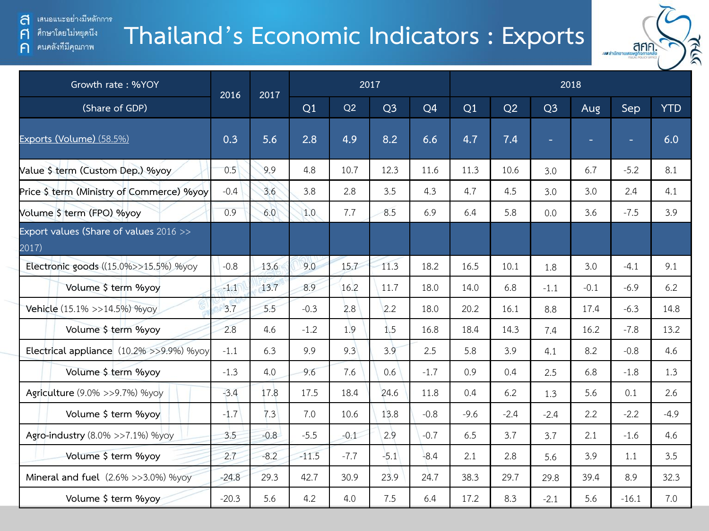ส ่ เสนอแนะอย่างมีหลักการ

 $\mathsf{F}$ 

 $\bigcap$ 

ศึกษาโดยไม่หยุดนึง

คนคลังที่มีคุณภาพ

## **Thailand's Economic Indicators : Exports**



| Growth rate: %YOY                               | 2016    | 2017   |         |        | 2017           |                | 2018   |        |                |        |         |            |  |  |
|-------------------------------------------------|---------|--------|---------|--------|----------------|----------------|--------|--------|----------------|--------|---------|------------|--|--|
| (Share of GDP)                                  |         |        | Q1      | Q2     | Q <sub>3</sub> | Q <sub>4</sub> | Q1     | Q2     | Q <sub>3</sub> | Aug    | Sep     | <b>YTD</b> |  |  |
| Exports (Volume) (58.5%)                        | 0.3     | 5.6    | 2.8     | 4.9    | 8.2            | 6.6            | 4.7    | 7.4    | $\sim$         | ۰      | ٠       | 6.0        |  |  |
| Value \$ term (Custom Dep.) %yoy                | 0.5     | 9.9    | 4.8     | 10.7   | 12.3           | 11.6           | 11.3   | 10.6   | 3.0            | 6.7    | $-5.2$  | 8.1        |  |  |
| Price \$ term (Ministry of Commerce) %yoy       | $-0.4$  | 3.6    | 3.8     | 2.8    | 3.5            | 4.3            | 4.7    | 4.5    | 3.0            | 3.0    | 2.4     | 4.1        |  |  |
| Volume \$ term (FPO) %yoy                       | 0.9     | 6.0    | 1.0     | 7.7    | 8.5            | 6.9            | 6.4    | 5.8    | 0.0            | 3.6    | $-7.5$  | 3.9        |  |  |
| Export values (Share of values 2016 >><br>2017) |         |        |         |        |                |                |        |        |                |        |         |            |  |  |
| Electronic goods ((15.0%>>15.5%) %yoy           | $-0.8$  | 13.6   | 9.0     | 15.7   | 11.3           | 18.2           | 16.5   | 10.1   | 1.8            | 3.0    | $-4.1$  | 9.1        |  |  |
| Volume \$ term %yoy                             | $-1.1$  | 13.7   | 8.9     | 16.2   | 11.7           | 18.0           | 14.0   | 6.8    | $-1.1$         | $-0.1$ | $-6.9$  | 6.2        |  |  |
| Vehicle (15.1% >>14.5%) %yoy                    | 3.7     | 5.5    | $-0.3$  | 2.8    | 2.2            | 18.0           | 20.2   | 16.1   | 8.8            | 17.4   | $-6.3$  | 14.8       |  |  |
| Volume \$ term %yoy                             | 2.8     | 4.6    | $-1.2$  | 1.9    | 1.5            | 16.8           | 18.4   | 14.3   | 7.4            | 16.2   | $-7.8$  | 13.2       |  |  |
| Electrical appliance (10.2% >>9.9%) %yoy        | $-1.1$  | 6.3    | 9.9     | 9.3    | 3.9            | 2.5            | 5.8    | 3.9    | 4.1            | 8.2    | $-0.8$  | 4.6        |  |  |
| Volume \$ term %yoy                             | $-1.3$  | 4.0    | 9.6     | 7.6    | 0.6            | $-1.7$         | 0.9    | 0.4    | 2.5            | 6.8    | $-1.8$  | 1.3        |  |  |
| Agriculture (9.0% >>9.7%) %yoy                  | $-3.4$  | 17.8   | 17.5    | 18.4   | 24.6           | 11.8           | 0.4    | 6.2    | 1.3            | 5.6    | 0.1     | 2.6        |  |  |
| Volume \$ term %yoy                             | $-1.7$  | 7.3    | 7.0     | 10.6   | 13.8           | $-0.8$         | $-9.6$ | $-2.4$ | $-2.4$         | 2.2    | $-2.2$  | $-4.9$     |  |  |
| Agro-industry (8.0% >>7.1%) %yoy                | 3.5     | $-0.8$ | $-5.5$  | $-0.1$ | 2.9            | $-0.7$         | 6.5    | 3.7    | 3.7            | 2.1    | $-1.6$  | 4.6        |  |  |
| Volume \$ term %yoy                             | 2.7     | $-8.2$ | $-11.5$ | $-7.7$ | $-5.1$         | $-8.4$         | 2.1    | 2.8    | 5.6            | 3.9    | 1.1     | 3.5        |  |  |
| Mineral and fuel (2.6% >>3.0%) %yoy             | $-24.8$ | 29.3   | 42.7    | 30.9   | 23.9           | 24.7           | 38.3   | 29.7   | 29.8           | 39.4   | 8.9     | 32.3       |  |  |
| Volume \$ term %yoy                             | $-20.3$ | 5.6    | 4.2     | 4.0    | 7.5            | 6.4            | 17.2   | 8.3    | $-2.1$         | 5.6    | $-16.1$ | 7.0        |  |  |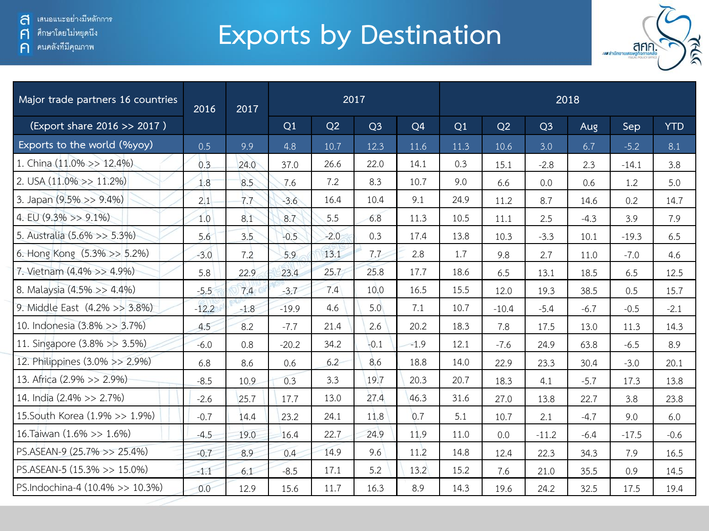ศึกษาโดยไม่หยุดนีง  $\mathsf{F}$ 

คนคลังที่มีคุณภาพ  $\bigcap$ 

# **Exports by Destination**



| Major trade partners 16 countries | 2016    | 2017   |         |        | 2017           |                | 2018 |         |                |        |         |            |  |  |
|-----------------------------------|---------|--------|---------|--------|----------------|----------------|------|---------|----------------|--------|---------|------------|--|--|
| (Export share 2016 >> 2017)       |         |        | Q1      | Q2     | Q <sub>3</sub> | Q <sub>4</sub> | Q1   | Q2      | Q <sub>3</sub> | Aug    | Sep     | <b>YTD</b> |  |  |
| Exports to the world (%yoy)       | 0.5     | 9.9    | 4.8     | 10.7   | 12.3           | 11.6           | 11.3 | 10.6    | 3.0            | 6.7    | $-5.2$  | 8.1        |  |  |
| 1. China (11.0% >> 12.4%)         | 0.3     | 24.0   | 37.0    | 26.6   | 22.0           | 14.1           | 0.3  | 15.1    | $-2.8$         | 2.3    | $-14.1$ | 3.8        |  |  |
| 2. USA $(11.0\% >> 11.2\%)$       | 1.8     | 8.5    | 7.6     | 7.2    | 8.3            | 10.7           | 9.0  | 6.6     | 0.0            | 0.6    | 1.2     | 5.0        |  |  |
| 3. Japan $(9.5\% >> 9.4\%)$       | 2.1     | 7.7    | $-3.6$  | 16.4   | 10.4           | 9.1            | 24.9 | 11.2    | 8.7            | 14.6   | 0.2     | 14.7       |  |  |
| 4. EU $(9.3\% \gg 9.1\%)$         | 1.0     | 8.1    | 8.7     | 5.5    | 6.8            | 11.3           | 10.5 | 11.1    | 2.5            | $-4.3$ | 3.9     | 7.9        |  |  |
| 5. Australia (5.6% >> 5.3%)       | 5.6     | 3.5    | $-0.5$  | $-2.0$ | 0.3            | 17.4           | 13.8 | 10.3    | $-3.3$         | 10.1   | $-19.3$ | 6.5        |  |  |
| 6. Hong Kong (5.3% >> 5.2%)       | $-3.0$  | 7.2    | 5.9     | 13.1   | 7.7            | 2.8            | 1.7  | 9.8     | 2.7            | 11.0   | $-7.0$  | 4.6        |  |  |
| 7. Vietnam (4.4% >> 4.9%)         | 5.8     | 22.9   | 23.4    | 25.7   | 25.8           | 17.7           | 18.6 | 6.5     | 13.1           | 18.5   | 6.5     | 12.5       |  |  |
| 8. Malaysia (4.5% >> 4.4%)        | $-5.5$  | 7.4    | $-3.7$  | 7.4    | 10.0           | 16.5           | 15.5 | 12.0    | 19.3           | 38.5   | 0.5     | 15.7       |  |  |
| 9. Middle East (4.2% >> 3.8%)     | $-12.2$ | $-1.8$ | $-19.9$ | 4.6    | 5.0            | 7.1            | 10.7 | $-10.4$ | $-5.4$         | $-6.7$ | $-0.5$  | $-2.1$     |  |  |
| 10. Indonesia (3.8% >> 3.7%)      | 4.5     | 8.2    | $-7.7$  | 21.4   | 2.6            | 20.2           | 18.3 | 7.8     | 17.5           | 13.0   | 11.3    | 14.3       |  |  |
| 11. Singapore (3.8% >> 3.5%)      | $-6.0$  | 0.8    | $-20.2$ | 34.2   | $-0.1$         | $-1.9$         | 12.1 | $-7.6$  | 24.9           | 63.8   | $-6.5$  | 8.9        |  |  |
| 12. Philippines (3.0% >> 2.9%)    | 6.8     | 8.6    | 0.6     | 6.2    | 8.6            | 18.8           | 14.0 | 22.9    | 23.3           | 30.4   | $-3.0$  | 20.1       |  |  |
| 13. Africa (2.9% >> 2.9%)         | $-8.5$  | 10.9   | 0.3     | 3.3    | 19.7           | 20.3           | 20.7 | 18.3    | 4.1            | $-5.7$ | 17.3    | 13.8       |  |  |
| 14. India (2.4% >> 2.7%)          | $-2.6$  | 25.7   | 17.7    | 13.0   | 27.4           | 46.3           | 31.6 | 27.0    | 13.8           | 22.7   | 3.8     | 23.8       |  |  |
| 15. South Korea (1.9% >> 1.9%)    | $-0.7$  | 14.4   | 23.2    | 24.1   | 11.8           | 0.7            | 5.1  | 10.7    | 2.1            | $-4.7$ | 9.0     | 6.0        |  |  |
| 16. Taiwan (1.6% >> 1.6%)         | $-4.5$  | 19.0   | 16.4    | 22.7   | 24.9           | 11.9           | 11.0 | 0.0     | $-11.2$        | $-6.4$ | $-17.5$ | $-0.6$     |  |  |
| PS.ASEAN-9 (25.7% >> 25.4%)       | $-0.7$  | 8.9    | 0.4     | 14.9   | 9.6            | 11.2           | 14.8 | 12.4    | 22.3           | 34.3   | 7.9     | 16.5       |  |  |
| PS.ASEAN-5 (15.3% >> 15.0%)       | $-1.1$  | 6.1    | $-8.5$  | 17.1   | 5.2            | 13.2           | 15.2 | 7.6     | 21.0           | 35.5   | 0.9     | 14.5       |  |  |
| PS.Indochina-4 (10.4% >> 10.3%)   | 0.0     | 12.9   | 15.6    | 11.7   | 16.3           | 8.9            | 14.3 | 19.6    | 24.2           | 32.5   | 17.5    | 19.4       |  |  |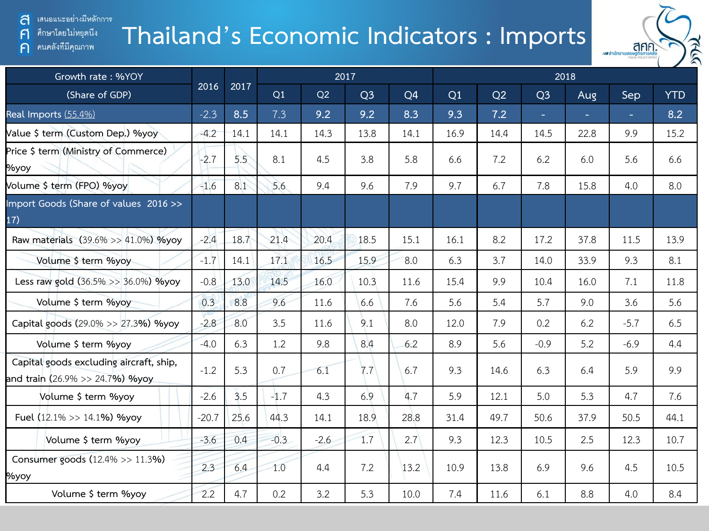เสนอแนะอย่างมีหลักการ ส

A

 $\bigcap$ 

ศึกษาโดยไม่หยุดนึง

คนคลังที่มีคุณภาพ

# **Thailand's Economic Indicators : Imports**



| Growth rate: %YOY                                                                  |         |      |        |        | 2017           |                | 2018 |      |                |      |        |            |  |  |
|------------------------------------------------------------------------------------|---------|------|--------|--------|----------------|----------------|------|------|----------------|------|--------|------------|--|--|
| (Share of GDP)                                                                     | 2016    | 2017 | Q1     | Q2     | Q <sub>3</sub> | Q <sub>4</sub> | Q1   | Q2   | Q <sub>3</sub> | Aug  | Sep    | <b>YTD</b> |  |  |
| Real Imports (55.4%)                                                               | $-2.3$  | 8.5  | 7.3    | 9.2    | 9.2            | 8.3            | 9.3  | 7.2  | ÷.             |      | ÷.     | 8.2        |  |  |
| Value \$ term (Custom Dep.) %yoy                                                   | $-4.2$  | 14.1 | 14.1   | 14.3   | 13.8           | 14.1           | 16.9 | 14.4 | 14.5           | 22.8 | 9.9    | 15.2       |  |  |
| Price \$ term (Ministry of Commerce)<br>%уоу                                       | $-2.7$  | 5.5  | 8.1    | 4.5    | 3.8            | 5.8            | 6.6  | 7.2  | 6.2            | 6.0  | 5.6    | 6.6        |  |  |
| Volume \$ term (FPO) %yoy                                                          | $-1.6$  | 8.1  | 5.6    | 9.4    | 9.6            | 7.9            | 9.7  | 6.7  | 7.8            | 15.8 | 4.0    | 8.0        |  |  |
| Import Goods (Share of values 2016>><br>17)                                        |         |      |        |        |                |                |      |      |                |      |        |            |  |  |
| Raw materials (39.6% >> 41.0%) %yoy                                                | $-2.4$  | 18.7 | 21.4   | 20.4   | 18.5           | 15.1           | 16.1 | 8.2  | 17.2           | 37.8 | 11.5   | 13.9       |  |  |
| Volume \$ term %yoy                                                                | $-1.7$  | 14.1 | 17.1   | 16.5   | 15.9           | 8.0            | 6.3  | 3.7  | 14.0           | 33.9 | 9.3    | 8.1        |  |  |
| Less raw gold (36.5% >> 36.0%) %yoy                                                | $-0.8$  | 13.0 | 14.5   | 16.0   | 10.3           | 11.6           | 15.4 | 9.9  | 10.4           | 16.0 | 7.1    | 11.8       |  |  |
| Volume \$ term %yoy                                                                | 0.3     | 8.8  | 9.6    | 11.6   | 6.6            | 7.6            | 5.6  | 5.4  | 5.7            | 9.0  | 3.6    | 5.6        |  |  |
| Capital goods (29.0% >> 27.3%) %yoy                                                | $-2.8$  | 8.0  | 3.5    | 11.6   | 9.1            | 8.0            | 12.0 | 7.9  | 0.2            | 6.2  | $-5.7$ | 6.5        |  |  |
| Volume \$ term %yoy                                                                | $-4.0$  | 6.3  | 1.2    | 9.8    | 8.4            | 6.2            | 8.9  | 5.6  | $-0.9$         | 5.2  | $-6.9$ | 4.4        |  |  |
| Capital goods excluding aircraft, ship,<br>and train (26.9% >> 24.7 <b>%) %yoy</b> | $-1.2$  | 5.3  | 0.7    | 6.1    | 7.7            | 6.7            | 9.3  | 14.6 | 6.3            | 6.4  | 5.9    | 9.9        |  |  |
| Volume \$ term %yoy                                                                | $-2.6$  | 3.5  | $-1.7$ | 4.3    | 6.9            | 4.7            | 5.9  | 12.1 | 5.0            | 5.3  | 4.7    | 7.6        |  |  |
| Fuel $(12.1\% >> 14.1\%)$ %yoy                                                     | $-20.7$ | 25.6 | 44.3   | 14.1   | 18.9           | 28.8           | 31.4 | 49.7 | 50.6           | 37.9 | 50.5   | 44.1       |  |  |
| Volume \$ term %yoy                                                                | $-3.6$  | 0.4  | $-0.3$ | $-2.6$ | 1.7            | 2.7            | 9.3  | 12.3 | 10.5           | 2.5  | 12.3   | 10.7       |  |  |
| Consumer goods (12.4% >> 11.3%)<br>%yoy                                            | 2.3     | 6.4  | 1.0    | 4.4    | 7.2            | 13.2           | 10.9 | 13.8 | 6.9            | 9.6  | 4.5    | 10.5       |  |  |
| Volume \$ term %yoy                                                                | 2.2     | 4.7  | 0.2    | 3.2    | 5.3            | 10.0           | 7.4  | 11.6 | 6.1            | 8.8  | 4.0    | 8.4        |  |  |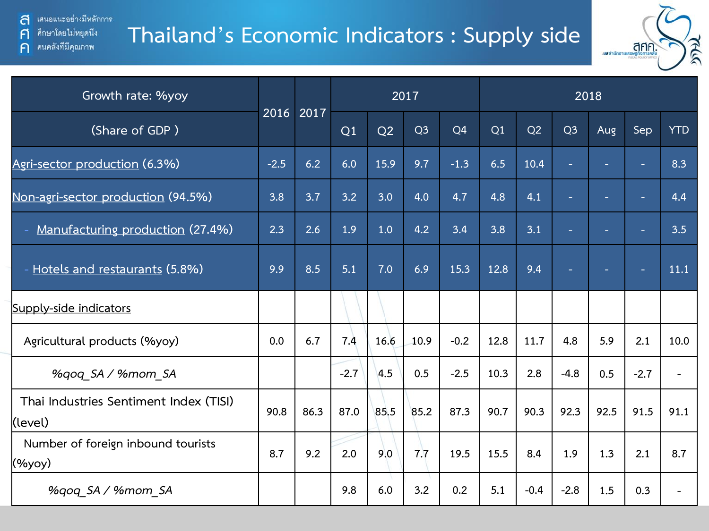ส ่ เสนอแนะอย่างมีหลักการ ศึกษาโดยไม่หยุดนึง

คนคลังที่มีคุณภาพ

 $\mathsf{F}$ 

 $\bigcap$ 

#### **Thailand's Economic Indicators : Supply side**



| Growth rate: %yoy                                 |        |           |        |      | 2017           |                | 2018 |        |                |        |                          |            |  |  |
|---------------------------------------------------|--------|-----------|--------|------|----------------|----------------|------|--------|----------------|--------|--------------------------|------------|--|--|
| (Share of GDP)                                    |        | 2016 2017 | Q1     | Q2   | Q <sub>3</sub> | Q <sub>4</sub> | Q1   | Q2     | Q <sub>3</sub> | Aug    | Sep                      | <b>YTD</b> |  |  |
| Agri-sector production (6.3%)                     | $-2.5$ | 6.2       | 6.0    | 15.9 | 9.7            | $-1.3$         | 6.5  | 10.4   |                |        |                          | 8.3        |  |  |
| Non-agri-sector production (94.5%)                | 3.8    | 3.7       | 3.2    | 3.0  | 4.0            | 4.7            | 4.8  | 4.1    |                |        |                          | 4.4        |  |  |
| Manufacturing production (27.4%)                  | 2.3    | 2.6       | 1.9    | 1.0  | 4.2            | 3.4            | 3.8  | 3.1    |                |        |                          | 3.5        |  |  |
| - Hotels and restaurants (5.8%)                   | 9.9    | 8.5       | 5.1    | 7.0  | 6.9            | 15.3           | 12.8 | 9.4    |                | $\sim$ | $\overline{\phantom{a}}$ | 11.1       |  |  |
| Supply-side indicators                            |        |           |        |      |                |                |      |        |                |        |                          |            |  |  |
| Agricultural products (%yoy)                      | 0.0    | 6.7       | 7.4    | 16.6 | 10.9           | $-0.2$         | 12.8 | 11.7   | 4.8            | 5.9    | 2.1                      | 10.0       |  |  |
| %qoq_SA / %mom_SA                                 |        |           | $-2.7$ | 4.5  | 0.5            | $-2.5$         | 10.3 | 2.8    | $-4.8$         | 0.5    | $-2.7$                   |            |  |  |
| Thai Industries Sentiment Index (TISI)<br>(level) | 90.8   | 86.3      | 87.0   | 85.5 | 85.2           | 87.3           | 90.7 | 90.3   | 92.3           | 92.5   | 91.5                     | 91.1       |  |  |
| Number of foreign inbound tourists<br>(%yoy)      | 8.7    | 9.2       | 2.0    | 9.0  | 7.7            | 19.5           | 15.5 | 8.4    | 1.9            | 1.3    | 2.1                      | 8.7        |  |  |
| %gog SA / %mom SA                                 |        |           | 9.8    | 6.0  | 3.2            | 0.2            | 5.1  | $-0.4$ | $-2.8$         | 1.5    | 0.3                      |            |  |  |